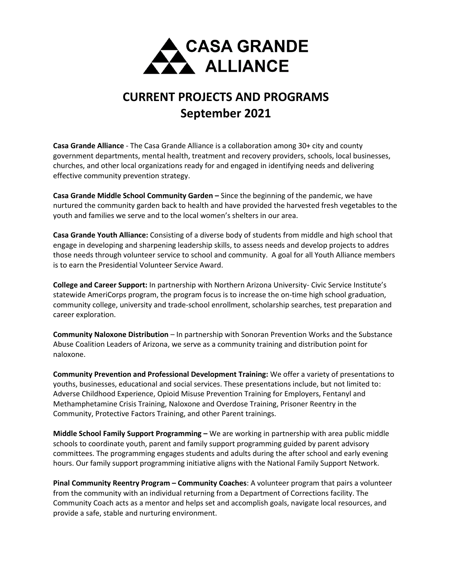

## **CURRENT PROJECTS AND PROGRAMS September 2021**

**Casa Grande Alliance** - The Casa Grande Alliance is a collaboration among 30+ city and county government departments, mental health, treatment and recovery providers, schools, local businesses, churches, and other local organizations ready for and engaged in identifying needs and delivering effective community prevention strategy.

**Casa Grande Middle School Community Garden –** Since the beginning of the pandemic, we have nurtured the community garden back to health and have provided the harvested fresh vegetables to the youth and families we serve and to the local women's shelters in our area.

**Casa Grande Youth Alliance:** Consisting of a diverse body of students from middle and high school that engage in developing and sharpening leadership skills, to assess needs and develop projects to addres those needs through volunteer service to school and community. A goal for all Youth Alliance members is to earn the Presidential Volunteer Service Award.

**College and Career Support:** In partnership with Northern Arizona University- Civic Service Institute's statewide AmeriCorps program, the program focus is to increase the on-time high school graduation, community college, university and trade-school enrollment, scholarship searches, test preparation and career exploration.

**Community Naloxone Distribution** – In partnership with Sonoran Prevention Works and the Substance Abuse Coalition Leaders of Arizona, we serve as a community training and distribution point for naloxone.

**Community Prevention and Professional Development Training:** We offer a variety of presentations to youths, businesses, educational and social services. These presentations include, but not limited to: Adverse Childhood Experience, Opioid Misuse Prevention Training for Employers, Fentanyl and Methamphetamine Crisis Training, Naloxone and Overdose Training, Prisoner Reentry in the Community, Protective Factors Training, and other Parent trainings.

**Middle School Family Support Programming –** We are working in partnership with area public middle schools to coordinate youth, parent and family support programming guided by parent advisory committees. The programming engages students and adults during the after school and early evening hours. Our family support programming initiative aligns with the National Family Support Network.

**Pinal Community Reentry Program – Community Coaches**: A volunteer program that pairs a volunteer from the community with an individual returning from a Department of Corrections facility. The Community Coach acts as a mentor and helps set and accomplish goals, navigate local resources, and provide a safe, stable and nurturing environment.